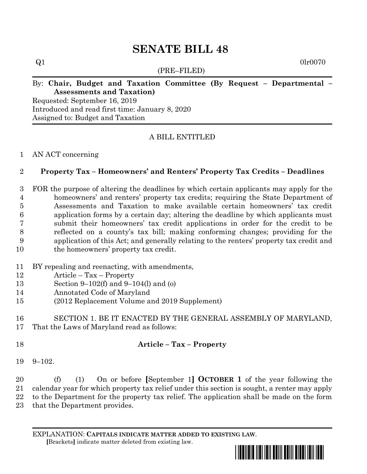# **SENATE BILL 48**

(PRE–FILED)

 $Q1$  0lr0070

# By: **Chair, Budget and Taxation Committee (By Request – Departmental – Assessments and Taxation)**

Requested: September 16, 2019 Introduced and read first time: January 8, 2020 Assigned to: Budget and Taxation

# A BILL ENTITLED

#### AN ACT concerning

# **Property Tax – Homeowners' and Renters' Property Tax Credits – Deadlines**

 FOR the purpose of altering the deadlines by which certain applicants may apply for the homeowners' and renters' property tax credits; requiring the State Department of Assessments and Taxation to make available certain homeowners' tax credit application forms by a certain day; altering the deadline by which applicants must submit their homeowners' tax credit applications in order for the credit to be reflected on a county's tax bill; making conforming changes; providing for the application of this Act; and generally relating to the renters' property tax credit and 10 the homeowners' property tax credit.

- BY repealing and reenacting, with amendments,
- Article Tax Property
- Section 9–102(f) and 9–104(l) and (o)
- Annotated Code of Maryland
- (2012 Replacement Volume and 2019 Supplement)
- SECTION 1. BE IT ENACTED BY THE GENERAL ASSEMBLY OF MARYLAND, That the Laws of Maryland read as follows:

# **Article – Tax – Property**

9–102.

 (f) (1) On or before **[**September 1**] OCTOBER 1** of the year following the calendar year for which property tax relief under this section is sought, a renter may apply to the Department for the property tax relief. The application shall be made on the form that the Department provides.

EXPLANATION: **CAPITALS INDICATE MATTER ADDED TO EXISTING LAW**.  **[**Brackets**]** indicate matter deleted from existing law.

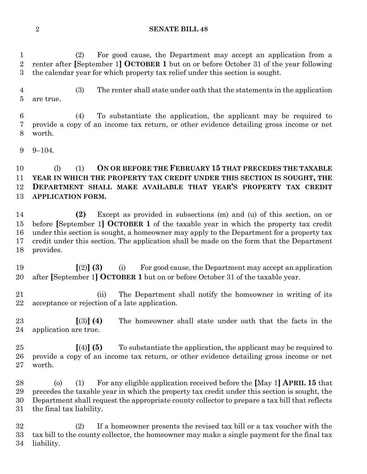#### **SENATE BILL 48**

 (2) For good cause, the Department may accept an application from a renter after **[**September 1**] OCTOBER 1** but on or before October 31 of the year following the calendar year for which property tax relief under this section is sought.

 (3) The renter shall state under oath that the statements in the application are true.

 (4) To substantiate the application, the applicant may be required to provide a copy of an income tax return, or other evidence detailing gross income or net worth.

9–104.

#### (l) (1) **ON OR BEFORE THE FEBRUARY 15 THAT PRECEDES THE TAXABLE YEAR IN WHICH THE PROPERTY TAX CREDIT UNDER THIS SECTION IS SOUGHT, THE DEPARTMENT SHALL MAKE AVAILABLE THAT YEAR'S PROPERTY TAX CREDIT APPLICATION FORM.**

 **(2)** Except as provided in subsections (m) and (u) of this section, on or before **[**September 1**] OCTOBER 1** of the taxable year in which the property tax credit under this section is sought, a homeowner may apply to the Department for a property tax credit under this section. The application shall be made on the form that the Department provides.

 **[**(2)**] (3)** (i) For good cause, the Department may accept an application after **[**September 1**] OCTOBER 1** but on or before October 31 of the taxable year.

- (ii) The Department shall notify the homeowner in writing of its acceptance or rejection of a late application.
- **[**(3)**] (4)** The homeowner shall state under oath that the facts in the application are true.
- **[**(4)**] (5)** To substantiate the application, the applicant may be required to provide a copy of an income tax return, or other evidence detailing gross income or net worth.
- (o) (1) For any eligible application received before the **[**May 1**] APRIL 15** that precedes the taxable year in which the property tax credit under this section is sought, the Department shall request the appropriate county collector to prepare a tax bill that reflects the final tax liability.

 (2) If a homeowner presents the revised tax bill or a tax voucher with the tax bill to the county collector, the homeowner may make a single payment for the final tax liability.